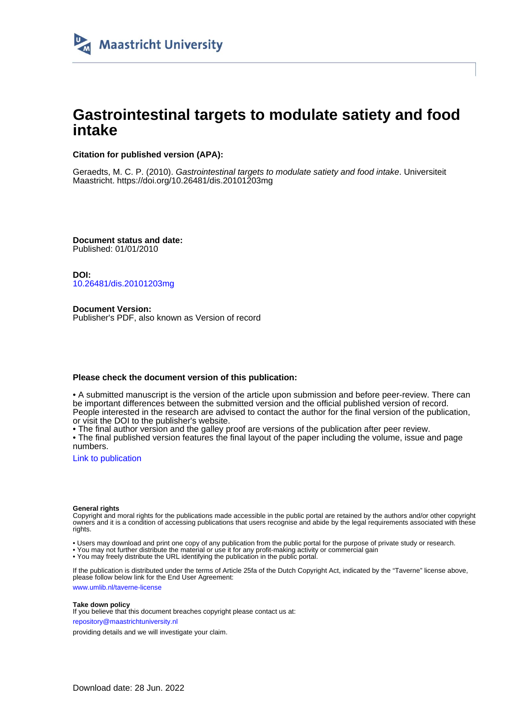

# **Gastrointestinal targets to modulate satiety and food intake**

## **Citation for published version (APA):**

Geraedts, M. C. P. (2010). Gastrointestinal targets to modulate satiety and food intake. Universiteit Maastricht. <https://doi.org/10.26481/dis.20101203mg>

**Document status and date:** Published: 01/01/2010

**DOI:** [10.26481/dis.20101203mg](https://doi.org/10.26481/dis.20101203mg)

**Document Version:** Publisher's PDF, also known as Version of record

### **Please check the document version of this publication:**

• A submitted manuscript is the version of the article upon submission and before peer-review. There can be important differences between the submitted version and the official published version of record. People interested in the research are advised to contact the author for the final version of the publication, or visit the DOI to the publisher's website.

• The final author version and the galley proof are versions of the publication after peer review.

• The final published version features the final layout of the paper including the volume, issue and page numbers.

[Link to publication](https://cris.maastrichtuniversity.nl/en/publications/fc8a3bfe-f047-4d68-ba2b-c8eb7832af45)

#### **General rights**

Copyright and moral rights for the publications made accessible in the public portal are retained by the authors and/or other copyright owners and it is a condition of accessing publications that users recognise and abide by the legal requirements associated with these rights.

• Users may download and print one copy of any publication from the public portal for the purpose of private study or research.

• You may not further distribute the material or use it for any profit-making activity or commercial gain

• You may freely distribute the URL identifying the publication in the public portal.

If the publication is distributed under the terms of Article 25fa of the Dutch Copyright Act, indicated by the "Taverne" license above, please follow below link for the End User Agreement:

www.umlib.nl/taverne-license

#### **Take down policy**

If you believe that this document breaches copyright please contact us at: repository@maastrichtuniversity.nl

providing details and we will investigate your claim.